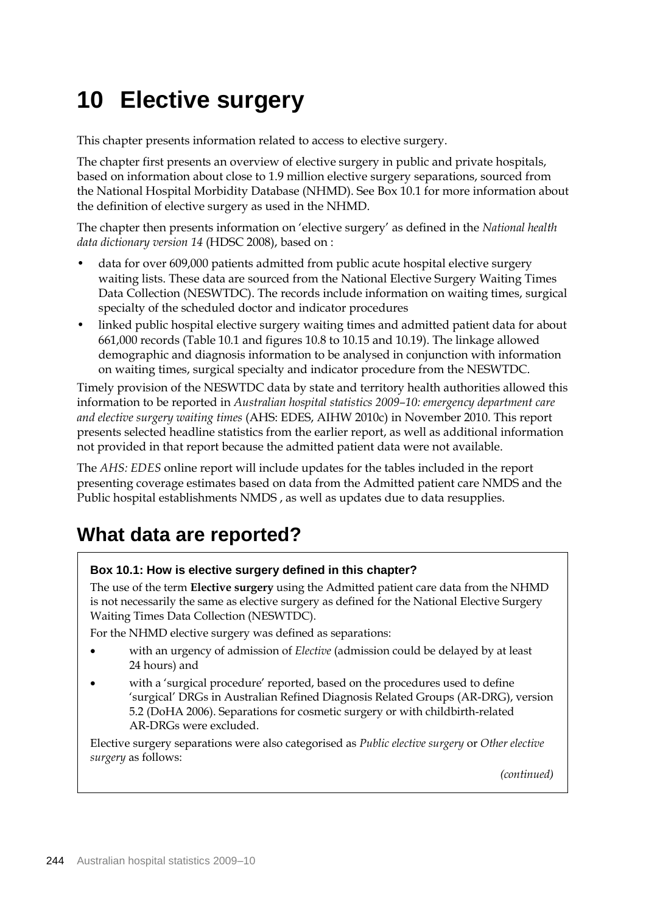# **10 Elective surgery**

This chapter presents information related to access to elective surgery.

The chapter first presents an overview of elective surgery in public and private hospitals, based on information about close to 1.9 million elective surgery separations, sourced from the National Hospital Morbidity Database (NHMD). See Box 10.1 for more information about the definition of elective surgery as used in the NHMD.

The chapter then presents information on 'elective surgery' as defined in the *National health data dictionary version 14* (HDSC 2008), based on :

- data for over 609,000 patients admitted from public acute hospital elective surgery waiting lists. These data are sourced from the National Elective Surgery Waiting Times Data Collection (NESWTDC). The records include information on waiting times, surgical specialty of the scheduled doctor and indicator procedures
- linked public hospital elective surgery waiting times and admitted patient data for about 661,000 records (Table 10.1 and figures 10.8 to 10.15 and 10.19). The linkage allowed demographic and diagnosis information to be analysed in conjunction with information on waiting times, surgical specialty and indicator procedure from the NESWTDC.

Timely provision of the NESWTDC data by state and territory health authorities allowed this information to be reported in *Australian hospital statistics 2009–10: emergency department care and elective surgery waiting times* (AHS: EDES, AIHW 2010c) in November 2010. This report presents selected headline statistics from the earlier report, as well as additional information not provided in that report because the admitted patient data were not available.

The *AHS: EDES* online report will include updates for the tables included in the report presenting coverage estimates based on data from the Admitted patient care NMDS and the Public hospital establishments NMDS , as well as updates due to data resupplies.

## **What data are reported?**

## **Box 10.1: How is elective surgery defined in this chapter?**

The use of the term **Elective surgery** using the Admitted patient care data from the NHMD is not necessarily the same as elective surgery as defined for the National Elective Surgery Waiting Times Data Collection (NESWTDC).

For the NHMD elective surgery was defined as separations:

- with an urgency of admission of *Elective* (admission could be delayed by at least 24 hours) and
- with a 'surgical procedure' reported, based on the procedures used to define 'surgical' DRGs in Australian Refined Diagnosis Related Groups (AR-DRG), version 5.2 (DoHA 2006). Separations for cosmetic surgery or with childbirth-related AR-DRGs were excluded.

Elective surgery separations were also categorised as *Public elective surgery* or *Other elective surgery* as follows:

*(continued)*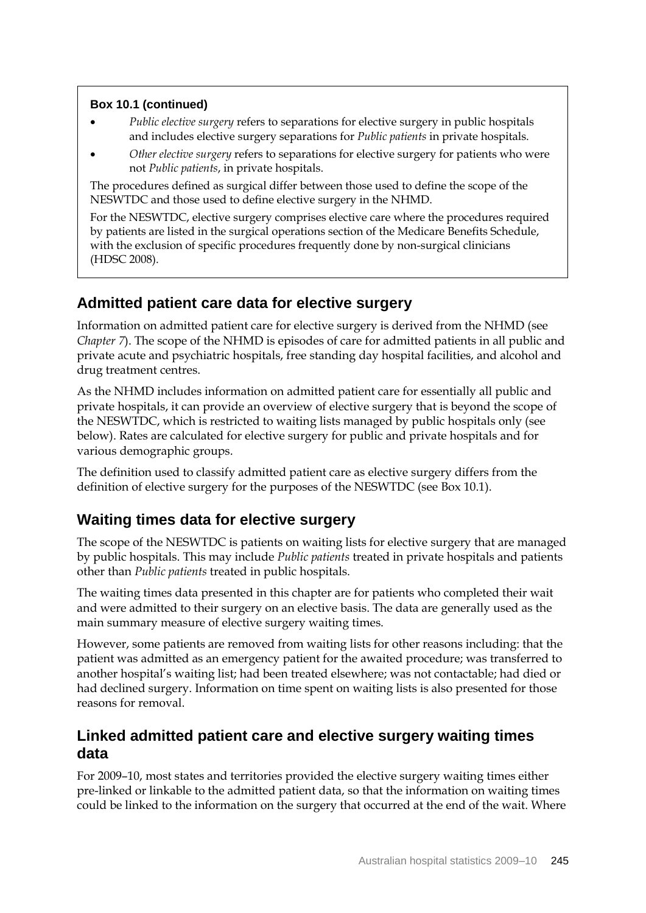## **Box 10.1 (continued)**

- *Public elective surgery* refers to separations for elective surgery in public hospitals and includes elective surgery separations for *Public patients* in private hospitals.
- *Other elective surgery* refers to separations for elective surgery for patients who were not *Public patients*, in private hospitals.

The procedures defined as surgical differ between those used to define the scope of the NESWTDC and those used to define elective surgery in the NHMD.

For the NESWTDC, elective surgery comprises elective care where the procedures required by patients are listed in the surgical operations section of the Medicare Benefits Schedule, with the exclusion of specific procedures frequently done by non-surgical clinicians (HDSC 2008).

## **Admitted patient care data for elective surgery**

Information on admitted patient care for elective surgery is derived from the NHMD (see *Chapter 7*). The scope of the NHMD is episodes of care for admitted patients in all public and private acute and psychiatric hospitals, free standing day hospital facilities, and alcohol and drug treatment centres.

As the NHMD includes information on admitted patient care for essentially all public and private hospitals, it can provide an overview of elective surgery that is beyond the scope of the NESWTDC, which is restricted to waiting lists managed by public hospitals only (see below). Rates are calculated for elective surgery for public and private hospitals and for various demographic groups.

The definition used to classify admitted patient care as elective surgery differs from the definition of elective surgery for the purposes of the NESWTDC (see Box 10.1).

## **Waiting times data for elective surgery**

The scope of the NESWTDC is patients on waiting lists for elective surgery that are managed by public hospitals. This may include *Public patients* treated in private hospitals and patients other than *Public patients* treated in public hospitals.

The waiting times data presented in this chapter are for patients who completed their wait and were admitted to their surgery on an elective basis. The data are generally used as the main summary measure of elective surgery waiting times.

However, some patients are removed from waiting lists for other reasons including: that the patient was admitted as an emergency patient for the awaited procedure; was transferred to another hospital's waiting list; had been treated elsewhere; was not contactable; had died or had declined surgery. Information on time spent on waiting lists is also presented for those reasons for removal.

## **Linked admitted patient care and elective surgery waiting times data**

For 2009–10, most states and territories provided the elective surgery waiting times either pre-linked or linkable to the admitted patient data, so that the information on waiting times could be linked to the information on the surgery that occurred at the end of the wait. Where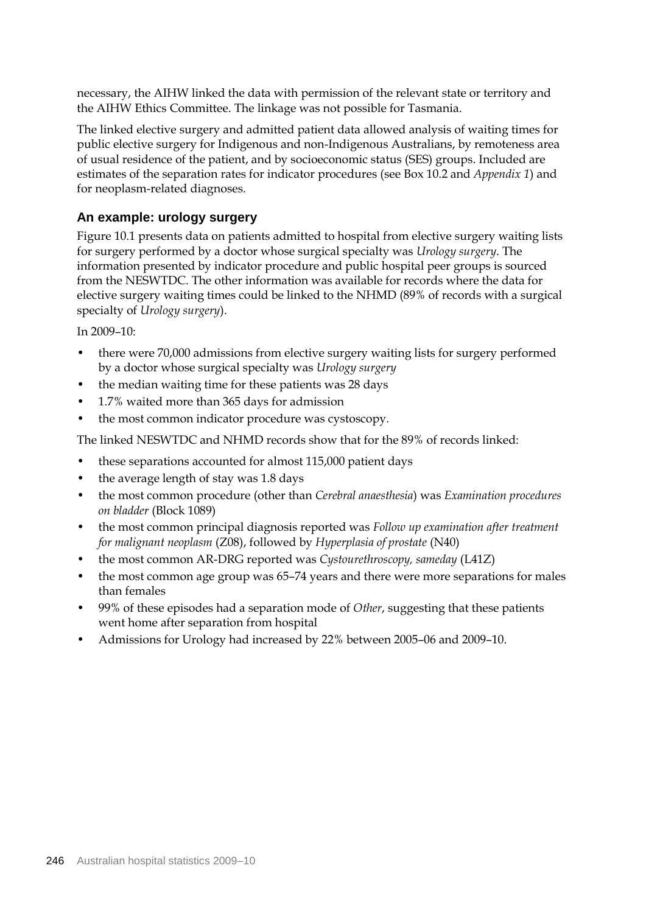necessary, the AIHW linked the data with permission of the relevant state or territory and the AIHW Ethics Committee. The linkage was not possible for Tasmania.

The linked elective surgery and admitted patient data allowed analysis of waiting times for public elective surgery for Indigenous and non-Indigenous Australians, by remoteness area of usual residence of the patient, and by socioeconomic status (SES) groups. Included are estimates of the separation rates for indicator procedures (see Box 10.2 and *Appendix 1*) and for neoplasm-related diagnoses.

### **An example: urology surgery**

Figure 10.1 presents data on patients admitted to hospital from elective surgery waiting lists for surgery performed by a doctor whose surgical specialty was *Urology surgery*. The information presented by indicator procedure and public hospital peer groups is sourced from the NESWTDC. The other information was available for records where the data for elective surgery waiting times could be linked to the NHMD (89% of records with a surgical specialty of *Urology surgery*).

In 2009–10:

- there were 70,000 admissions from elective surgery waiting lists for surgery performed by a doctor whose surgical specialty was *Urology surgery*
- the median waiting time for these patients was 28 days
- 1.7% waited more than 365 days for admission
- the most common indicator procedure was cystoscopy.

The linked NESWTDC and NHMD records show that for the 89% of records linked:

- these separations accounted for almost 115,000 patient days
- the average length of stay was 1.8 days
- the most common procedure (other than *Cerebral anaesthesia*) was *Examination procedures on bladder* (Block 1089)
- the most common principal diagnosis reported was *Follow up examination after treatment for malignant neoplasm* (Z08), followed by *Hyperplasia of prostate* (N40)
- the most common AR-DRG reported was *Cystourethroscopy, sameday* (L41Z)
- the most common age group was 65–74 years and there were more separations for males than females
- 99% of these episodes had a separation mode of *Other*, suggesting that these patients went home after separation from hospital
- Admissions for Urology had increased by 22% between 2005–06 and 2009–10.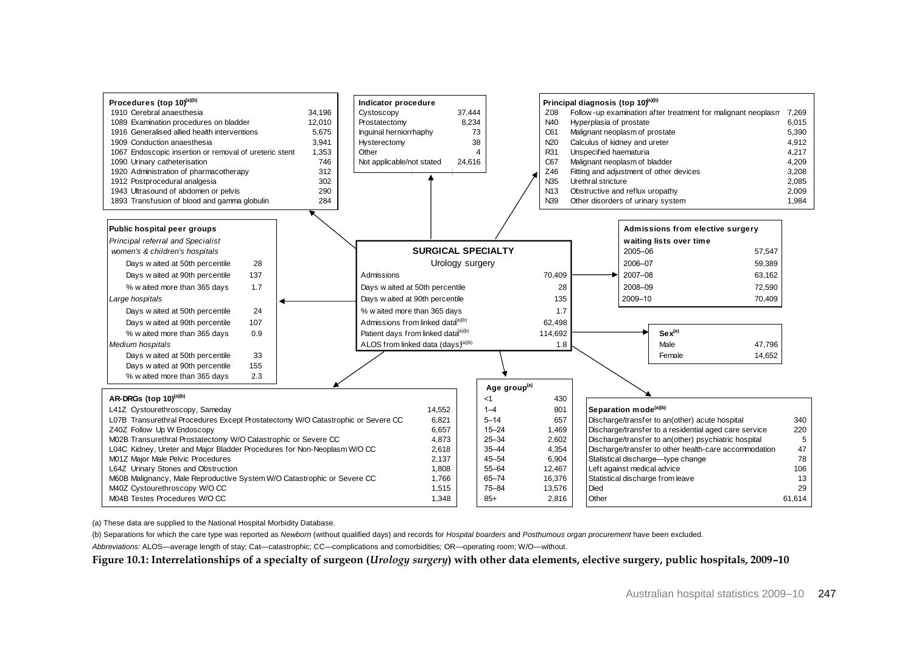

(a) These data are supplied to the National Hospital Morbidity Database.

(b) Separations for which the care type was reported as *Newborn* (without qualified days) and records for *Hospital boarders* and *Posthumous organ procurement* have been excluded. *Abbreviations:* ALOS—average length of stay; Cat—catastrophic; CC—complications and comorbidities; OR—operating room; W/O—without.

**Figure 10.1: Interrelationships of a specialty of surgeon (***Urology surgery***) with other data elements, elective surgery, public hospitals, 2009–10**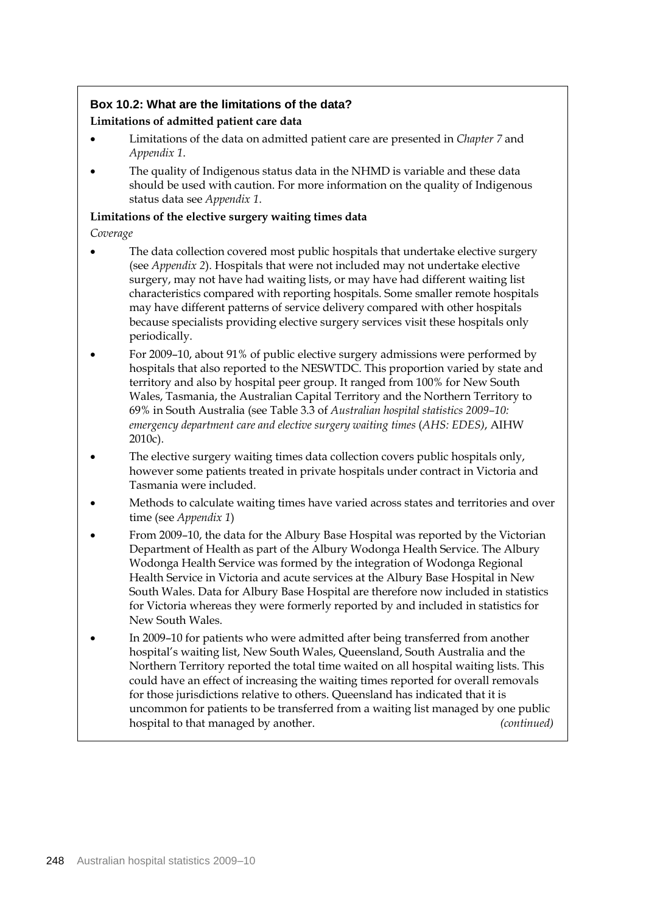## **Box 10.2: What are the limitations of the data?**

#### **Limitations of admitted patient care data**

- Limitations of the data on admitted patient care are presented in *Chapter 7* and *Appendix 1*.
- The quality of Indigenous status data in the NHMD is variable and these data should be used with caution. For more information on the quality of Indigenous status data see *Appendix 1*.

#### **Limitations of the elective surgery waiting times data**

*Coverage*

- The data collection covered most public hospitals that undertake elective surgery (see *Appendix 2*). Hospitals that were not included may not undertake elective surgery, may not have had waiting lists, or may have had different waiting list characteristics compared with reporting hospitals. Some smaller remote hospitals may have different patterns of service delivery compared with other hospitals because specialists providing elective surgery services visit these hospitals only periodically.
- For 2009–10, about 91% of public elective surgery admissions were performed by hospitals that also reported to the NESWTDC. This proportion varied by state and territory and also by hospital peer group. It ranged from 100% for New South Wales, Tasmania, the Australian Capital Territory and the Northern Territory to 69% in South Australia (see Table 3.3 of *Australian hospital statistics 2009–10: emergency department care and elective surgery waiting times* (*AHS: EDES)*, AIHW 2010c).
- The elective surgery waiting times data collection covers public hospitals only, however some patients treated in private hospitals under contract in Victoria and Tasmania were included.
- Methods to calculate waiting times have varied across states and territories and over time (see *Appendix 1*)
- From 2009–10, the data for the Albury Base Hospital was reported by the Victorian Department of Health as part of the Albury Wodonga Health Service. The Albury Wodonga Health Service was formed by the integration of Wodonga Regional Health Service in Victoria and acute services at the Albury Base Hospital in New South Wales. Data for Albury Base Hospital are therefore now included in statistics for Victoria whereas they were formerly reported by and included in statistics for New South Wales.
- In 2009–10 for patients who were admitted after being transferred from another hospital's waiting list, New South Wales, Queensland, South Australia and the Northern Territory reported the total time waited on all hospital waiting lists. This could have an effect of increasing the waiting times reported for overall removals for those jurisdictions relative to others. Queensland has indicated that it is uncommon for patients to be transferred from a waiting list managed by one public hospital to that managed by another. *(continued)*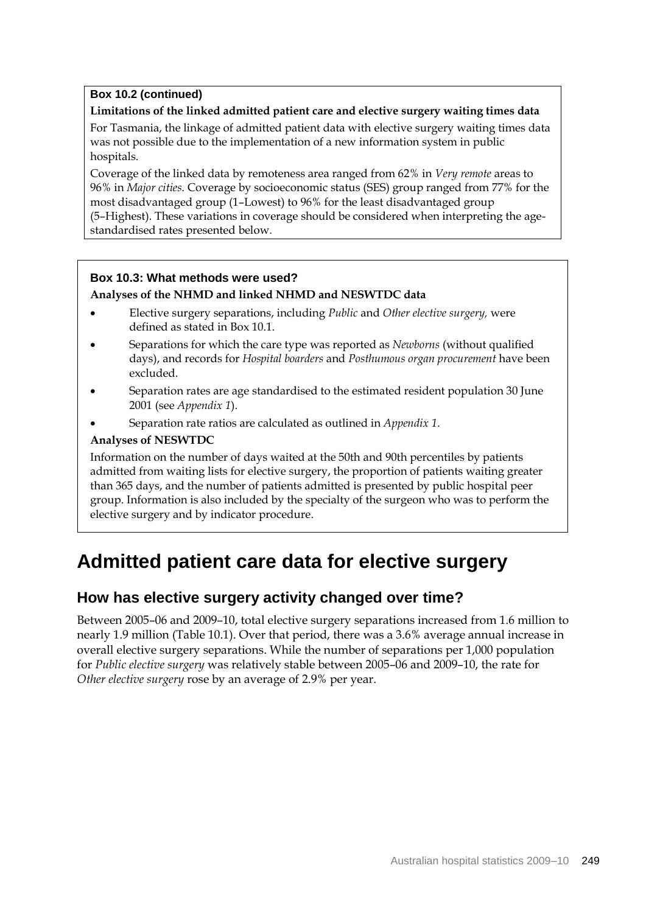## **Box 10.2 (continued)**

### **Limitations of the linked admitted patient care and elective surgery waiting times data**

For Tasmania, the linkage of admitted patient data with elective surgery waiting times data was not possible due to the implementation of a new information system in public hospitals.

Coverage of the linked data by remoteness area ranged from 62% in *Very remote* areas to 96% in *Major cities*. Coverage by socioeconomic status (SES) group ranged from 77% for the most disadvantaged group (1–Lowest) to 96% for the least disadvantaged group (5–Highest). These variations in coverage should be considered when interpreting the agestandardised rates presented below.

### **Box 10.3: What methods were used?**

### **Analyses of the NHMD and linked NHMD and NESWTDC data**

- Elective surgery separations, including *Public* and *Other elective surgery,* were defined as stated in Box 10.1.
- Separations for which the care type was reported as *Newborns* (without qualified days), and records for *Hospital boarders* and *Posthumous organ procurement* have been excluded.
- Separation rates are age standardised to the estimated resident population 30 June 2001 (see *Appendix 1*).
- Separation rate ratios are calculated as outlined in *Appendix 1*.

### **Analyses of NESWTDC**

Information on the number of days waited at the 50th and 90th percentiles by patients admitted from waiting lists for elective surgery, the proportion of patients waiting greater than 365 days, and the number of patients admitted is presented by public hospital peer group. Information is also included by the specialty of the surgeon who was to perform the elective surgery and by indicator procedure.

## **Admitted patient care data for elective surgery**

## **How has elective surgery activity changed over time?**

Between 2005–06 and 2009–10, total elective surgery separations increased from 1.6 million to nearly 1.9 million (Table 10.1). Over that period, there was a 3.6% average annual increase in overall elective surgery separations. While the number of separations per 1,000 population for *Public elective surgery* was relatively stable between 2005–06 and 2009–10, the rate for *Other elective surgery* rose by an average of 2.9% per year.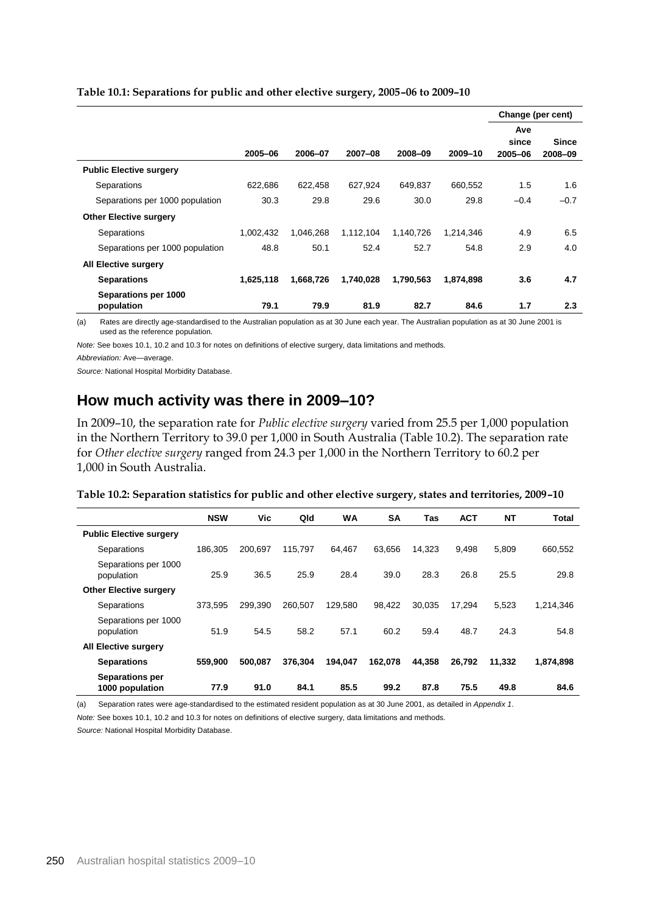|                                    |           |           |           |           |           | Change (per cent) |              |
|------------------------------------|-----------|-----------|-----------|-----------|-----------|-------------------|--------------|
|                                    |           |           |           |           |           | Ave               |              |
|                                    |           |           |           |           |           | since             | <b>Since</b> |
|                                    | 2005-06   | 2006-07   | 2007-08   | 2008-09   | 2009-10   | 2005-06           | 2008-09      |
| <b>Public Elective surgery</b>     |           |           |           |           |           |                   |              |
| Separations                        | 622,686   | 622,458   | 627,924   | 649,837   | 660,552   | 1.5               | 1.6          |
| Separations per 1000 population    | 30.3      | 29.8      | 29.6      | 30.0      | 29.8      | $-0.4$            | $-0.7$       |
| <b>Other Elective surgery</b>      |           |           |           |           |           |                   |              |
| Separations                        | 1,002,432 | 1,046,268 | 1,112,104 | 1,140,726 | 1,214,346 | 4.9               | 6.5          |
| Separations per 1000 population    | 48.8      | 50.1      | 52.4      | 52.7      | 54.8      | 2.9               | 4.0          |
| <b>All Elective surgery</b>        |           |           |           |           |           |                   |              |
| <b>Separations</b>                 | 1.625.118 | 1,668,726 | 1,740,028 | 1.790.563 | 1.874.898 | 3.6               | 4.7          |
| Separations per 1000<br>population | 79.1      | 79.9      | 81.9      | 82.7      | 84.6      | 1.7               | 2.3          |

#### **Table 10.1: Separations for public and other elective surgery, 2005–06 to 2009–10**

(a) Rates are directly age-standardised to the Australian population as at 30 June each year. The Australian population as at 30 June 2001 is used as the reference population.

*Note:* See boxes 10.1, 10.2 and 10.3 for notes on definitions of elective surgery, data limitations and methods.

*Source:* National Hospital Morbidity Database.

## **How much activity was there in 2009–10?**

In 2009–10, the separation rate for *Public elective surgery* varied from 25.5 per 1,000 population in the Northern Territory to 39.0 per 1,000 in South Australia (Table 10.2). The separation rate for *Other elective surgery* ranged from 24.3 per 1,000 in the Northern Territory to 60.2 per 1,000 in South Australia.

| Table 10.2: Separation statistics for public and other elective surgery, states and territories, 2009-10 |  |
|----------------------------------------------------------------------------------------------------------|--|
|                                                                                                          |  |

|                                           | <b>NSW</b> | Vic     | Qld     | WA      | <b>SA</b> | Tas    | <b>ACT</b> | <b>NT</b> | <b>Total</b> |
|-------------------------------------------|------------|---------|---------|---------|-----------|--------|------------|-----------|--------------|
| <b>Public Elective surgery</b>            |            |         |         |         |           |        |            |           |              |
| Separations                               | 186.305    | 200.697 | 115.797 | 64.467  | 63.656    | 14,323 | 9.498      | 5,809     | 660,552      |
| Separations per 1000<br>population        | 25.9       | 36.5    | 25.9    | 28.4    | 39.0      | 28.3   | 26.8       | 25.5      | 29.8         |
| <b>Other Elective surgery</b>             |            |         |         |         |           |        |            |           |              |
| Separations                               | 373.595    | 299.390 | 260.507 | 129,580 | 98.422    | 30.035 | 17,294     | 5.523     | 1,214,346    |
| Separations per 1000<br>population        | 51.9       | 54.5    | 58.2    | 57.1    | 60.2      | 59.4   | 48.7       | 24.3      | 54.8         |
| <b>All Elective surgery</b>               |            |         |         |         |           |        |            |           |              |
| <b>Separations</b>                        | 559,900    | 500,087 | 376,304 | 194.047 | 162,078   | 44.358 | 26.792     | 11.332    | 1,874,898    |
| <b>Separations per</b><br>1000 population | 77.9       | 91.0    | 84.1    | 85.5    | 99.2      | 87.8   | 75.5       | 49.8      | 84.6         |

(a) Separation rates were age-standardised to the estimated resident population as at 30 June 2001, as detailed in *Appendix 1*.

*Note:* See boxes 10.1, 10.2 and 10.3 for notes on definitions of elective surgery, data limitations and methods.

*Source:* National Hospital Morbidity Database.

*Abbreviation:* Ave—average.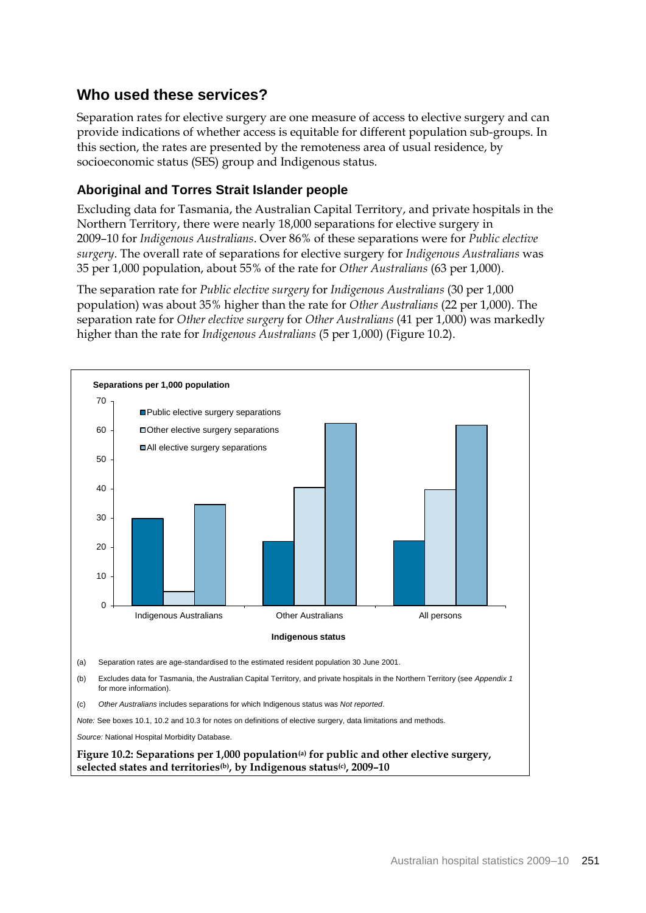## **Who used these services?**

Separation rates for elective surgery are one measure of access to elective surgery and can provide indications of whether access is equitable for different population sub-groups. In this section, the rates are presented by the remoteness area of usual residence, by socioeconomic status (SES) group and Indigenous status.

## **Aboriginal and Torres Strait Islander people**

Excluding data for Tasmania, the Australian Capital Territory, and private hospitals in the Northern Territory, there were nearly 18,000 separations for elective surgery in 2009–10 for *Indigenous Australians*. Over 86% of these separations were for *Public elective surgery*. The overall rate of separations for elective surgery for *Indigenous Australians* was 35 per 1,000 population, about 55% of the rate for *Other Australians* (63 per 1,000).

The separation rate for *Public elective surgery* for *Indigenous Australians* (30 per 1,000 population) was about 35% higher than the rate for *Other Australians* (22 per 1,000). The separation rate for *Other elective surgery* for *Other Australians* (41 per 1,000) was markedly higher than the rate for *Indigenous Australians* (5 per 1,000) (Figure 10.2).

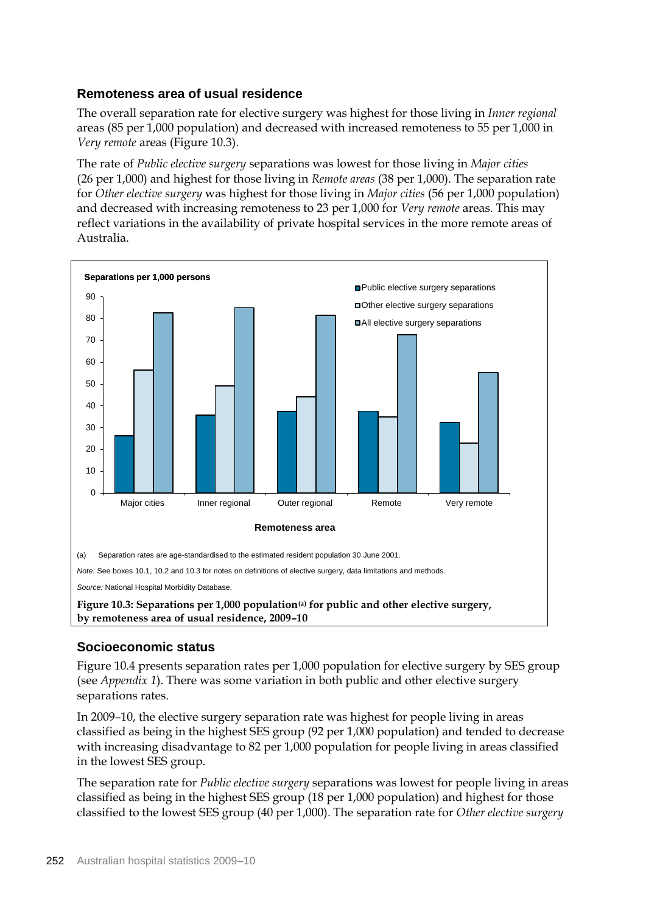## **Remoteness area of usual residence**

The overall separation rate for elective surgery was highest for those living in *Inner regional* areas (85 per 1,000 population) and decreased with increased remoteness to 55 per 1,000 in *Very remote* areas (Figure 10.3).

The rate of *Public elective surgery* separations was lowest for those living in *Major cities* (26 per 1,000) and highest for those living in *Remote areas* (38 per 1,000). The separation rate for *Other elective surgery* was highest for those living in *Major cities* (56 per 1,000 population) and decreased with increasing remoteness to 23 per 1,000 for *Very remote* areas. This may reflect variations in the availability of private hospital services in the more remote areas of Australia.



*Source:* National Hospital Morbidity Database.

**Figure 10.3: Separations per 1,000 population(a) for public and other elective surgery, by remoteness area of usual residence, 2009–10**

## **Socioeconomic status**

Figure 10.4 presents separation rates per 1,000 population for elective surgery by SES group (see *Appendix 1*). There was some variation in both public and other elective surgery separations rates.

In 2009–10, the elective surgery separation rate was highest for people living in areas classified as being in the highest SES group (92 per 1,000 population) and tended to decrease with increasing disadvantage to 82 per 1,000 population for people living in areas classified in the lowest SES group.

The separation rate for *Public elective surgery* separations was lowest for people living in areas classified as being in the highest SES group (18 per 1,000 population) and highest for those classified to the lowest SES group (40 per 1,000). The separation rate for *Other elective surgery*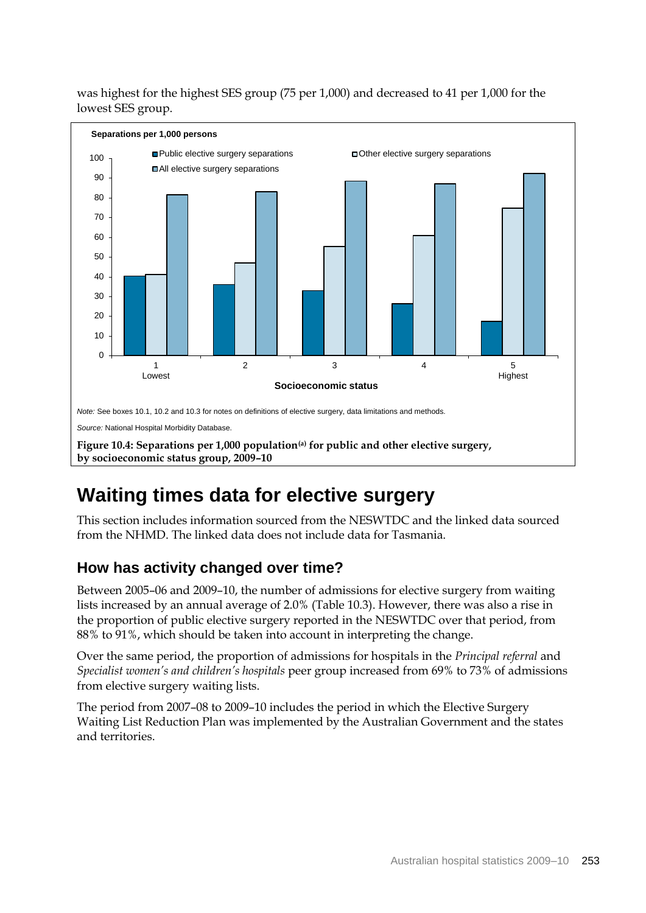was highest for the highest SES group (75 per 1,000) and decreased to 41 per 1,000 for the lowest SES group.



## **Waiting times data for elective surgery**

This section includes information sourced from the NESWTDC and the linked data sourced from the NHMD. The linked data does not include data for Tasmania.

## **How has activity changed over time?**

Between 2005–06 and 2009–10, the number of admissions for elective surgery from waiting lists increased by an annual average of 2.0% (Table 10.3). However, there was also a rise in the proportion of public elective surgery reported in the NESWTDC over that period, from 88% to 91%, which should be taken into account in interpreting the change.

Over the same period, the proportion of admissions for hospitals in the *Principal referral* and *Specialist women's and children's hospitals* peer group increased from 69% to 73% of admissions from elective surgery waiting lists.

The period from 2007–08 to 2009–10 includes the period in which the Elective Surgery Waiting List Reduction Plan was implemented by the Australian Government and the states and territories.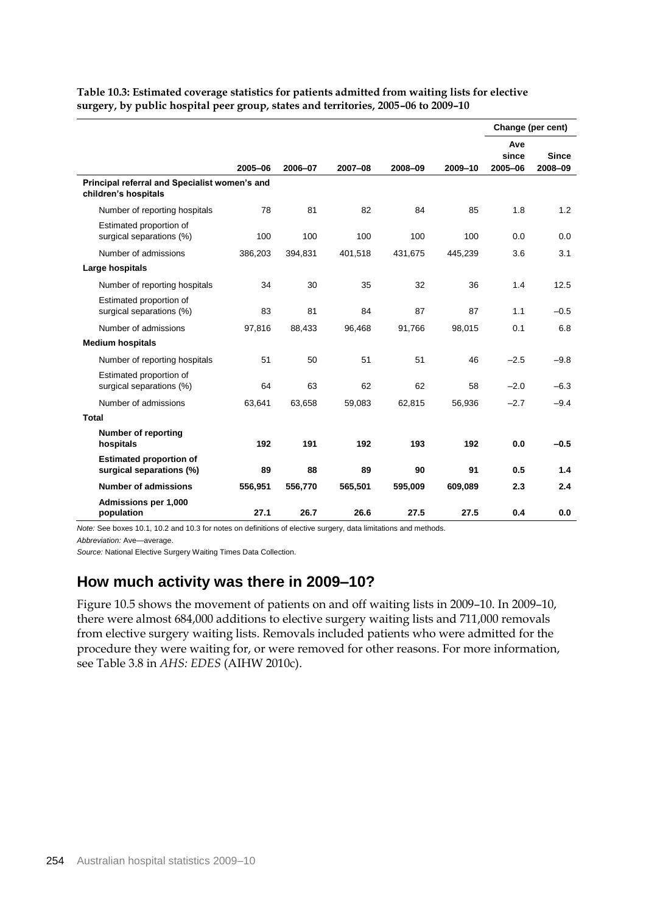|                                                                       |         |         |         |         |         |                         | Change (per cent)       |
|-----------------------------------------------------------------------|---------|---------|---------|---------|---------|-------------------------|-------------------------|
|                                                                       | 2005-06 | 2006-07 | 2007-08 | 2008-09 | 2009-10 | Ave<br>since<br>2005-06 | <b>Since</b><br>2008-09 |
| Principal referral and Specialist women's and<br>children's hospitals |         |         |         |         |         |                         |                         |
| Number of reporting hospitals                                         | 78      | 81      | 82      | 84      | 85      | 1.8                     | 1.2                     |
| Estimated proportion of<br>surgical separations (%)                   | 100     | 100     | 100     | 100     | 100     | 0.0                     | 0.0                     |
| Number of admissions                                                  | 386,203 | 394,831 | 401,518 | 431,675 | 445,239 | 3.6                     | 3.1                     |
| Large hospitals                                                       |         |         |         |         |         |                         |                         |
| Number of reporting hospitals                                         | 34      | 30      | 35      | 32      | 36      | 1.4                     | 12.5                    |
| Estimated proportion of<br>surgical separations (%)                   | 83      | 81      | 84      | 87      | 87      | 1.1                     | $-0.5$                  |
| Number of admissions                                                  | 97,816  | 88.433  | 96.468  | 91,766  | 98.015  | 0.1                     | 6.8                     |
| <b>Medium hospitals</b>                                               |         |         |         |         |         |                         |                         |
| Number of reporting hospitals                                         | 51      | 50      | 51      | 51      | 46      | $-2.5$                  | $-9.8$                  |
| Estimated proportion of<br>surgical separations (%)                   | 64      | 63      | 62      | 62      | 58      | $-2.0$                  | $-6.3$                  |
| Number of admissions                                                  | 63,641  | 63,658  | 59,083  | 62,815  | 56,936  | $-2.7$                  | $-9.4$                  |
| <b>Total</b>                                                          |         |         |         |         |         |                         |                         |
| <b>Number of reporting</b><br>hospitals                               | 192     | 191     | 192     | 193     | 192     | 0.0                     | $-0.5$                  |
| <b>Estimated proportion of</b><br>surgical separations (%)            | 89      | 88      | 89      | 90      | 91      | 0.5                     | 1.4                     |
| <b>Number of admissions</b>                                           | 556,951 | 556,770 | 565,501 | 595,009 | 609,089 | 2.3                     | 2.4                     |
| Admissions per 1,000<br>population                                    | 27.1    | 26.7    | 26.6    | 27.5    | 27.5    | 0.4                     | 0.0                     |

**Table 10.3: Estimated coverage statistics for patients admitted from waiting lists for elective surgery, by public hospital peer group, states and territories, 2005–06 to 2009–10**

*Note:* See boxes 10.1, 10.2 and 10.3 for notes on definitions of elective surgery, data limitations and methods.

*Abbreviation:* Ave—average.

*Source:* National Elective Surgery Waiting Times Data Collection.

## **How much activity was there in 2009–10?**

Figure 10.5 shows the movement of patients on and off waiting lists in 2009–10. In 2009–10, there were almost 684,000 additions to elective surgery waiting lists and 711,000 removals from elective surgery waiting lists. Removals included patients who were admitted for the procedure they were waiting for, or were removed for other reasons. For more information, see Table 3.8 in *AHS: EDES* (AIHW 2010c).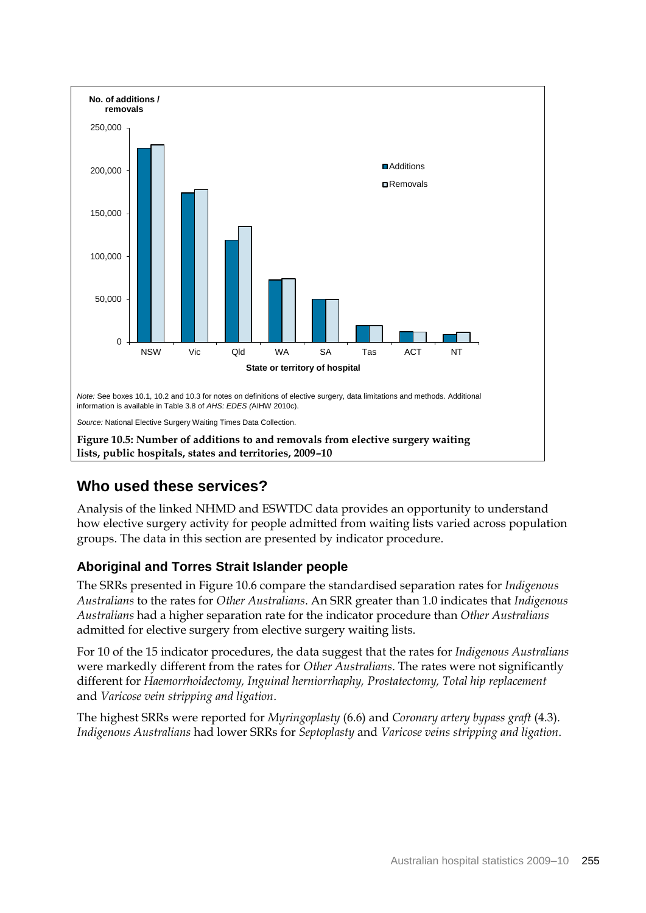

## **Who used these services?**

Analysis of the linked NHMD and ESWTDC data provides an opportunity to understand how elective surgery activity for people admitted from waiting lists varied across population groups. The data in this section are presented by indicator procedure.

## **Aboriginal and Torres Strait Islander people**

The SRRs presented in Figure 10.6 compare the standardised separation rates for *Indigenous Australians* to the rates for *Other Australians*. An SRR greater than 1.0 indicates that *Indigenous Australians* had a higher separation rate for the indicator procedure than *Other Australians* admitted for elective surgery from elective surgery waiting lists.

For 10 of the 15 indicator procedures, the data suggest that the rates for *Indigenous Australians* were markedly different from the rates for *Other Australians*. The rates were not significantly different for *Haemorrhoidectomy, Inguinal herniorrhaphy, Prostatectomy, Total hip replacement* and *Varicose vein stripping and ligation*.

The highest SRRs were reported for *Myringoplasty* (6.6) and *Coronary artery bypass graft* (4.3). *Indigenous Australians* had lower SRRs for *Septoplasty* and *Varicose veins stripping and ligation*.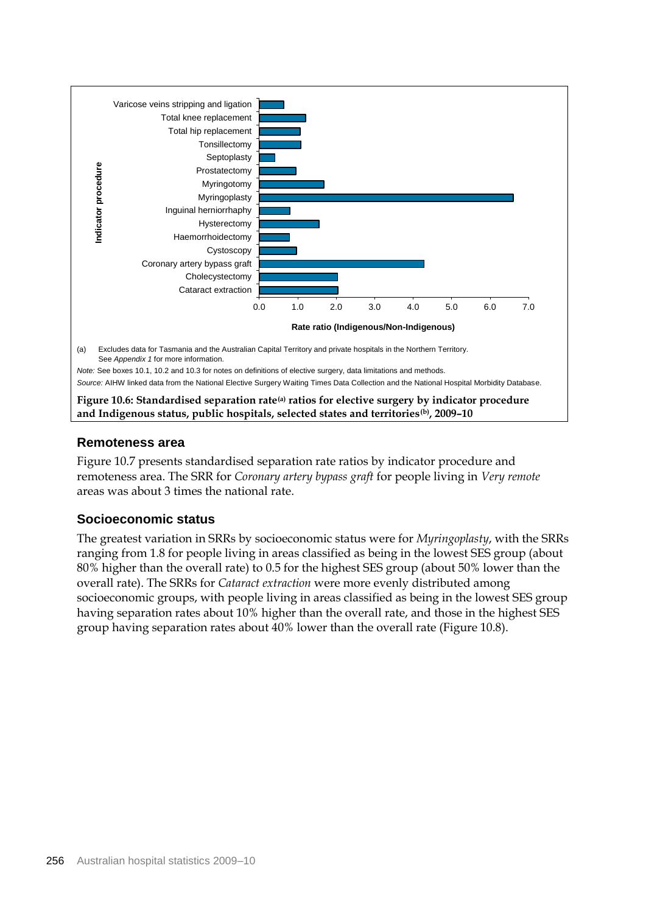

**and Indigenous status, public hospitals, selected states and territories(b), 2009–10**

### **Remoteness area**

Figure 10.7 presents standardised separation rate ratios by indicator procedure and remoteness area. The SRR for *Coronary artery bypass graft* for people living in *Very remote* areas was about 3 times the national rate.

## **Socioeconomic status**

The greatest variation in SRRs by socioeconomic status were for *Myringoplasty*, with the SRRs ranging from 1.8 for people living in areas classified as being in the lowest SES group (about 80% higher than the overall rate) to 0.5 for the highest SES group (about 50% lower than the overall rate). The SRRs for *Cataract extraction* were more evenly distributed among socioeconomic groups, with people living in areas classified as being in the lowest SES group having separation rates about 10% higher than the overall rate, and those in the highest SES group having separation rates about 40% lower than the overall rate (Figure 10.8).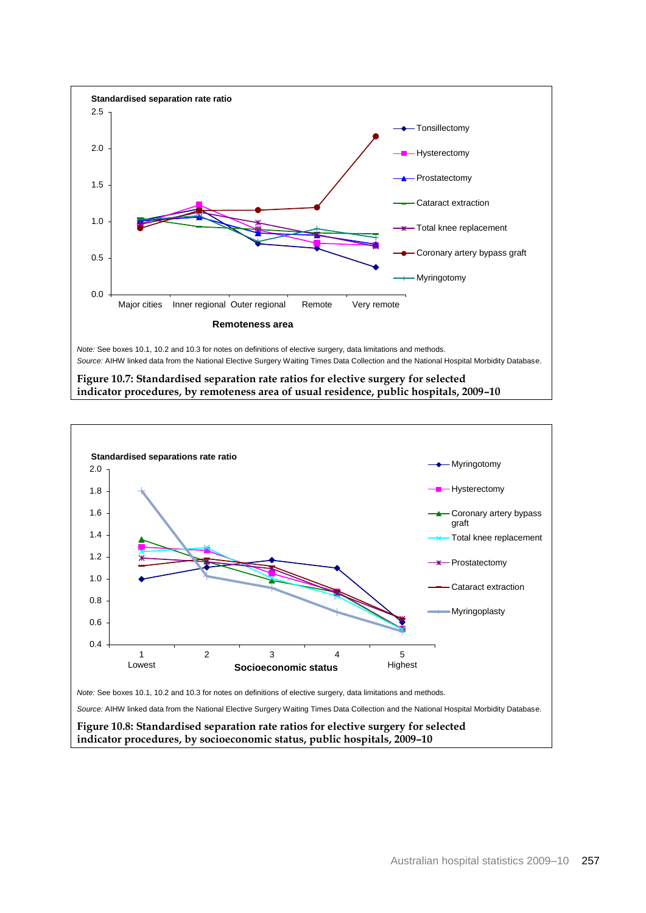

**Figure 10.7: Standardised separation rate ratios for elective surgery for selected indicator procedures, by remoteness area of usual residence, public hospitals, 2009–10**

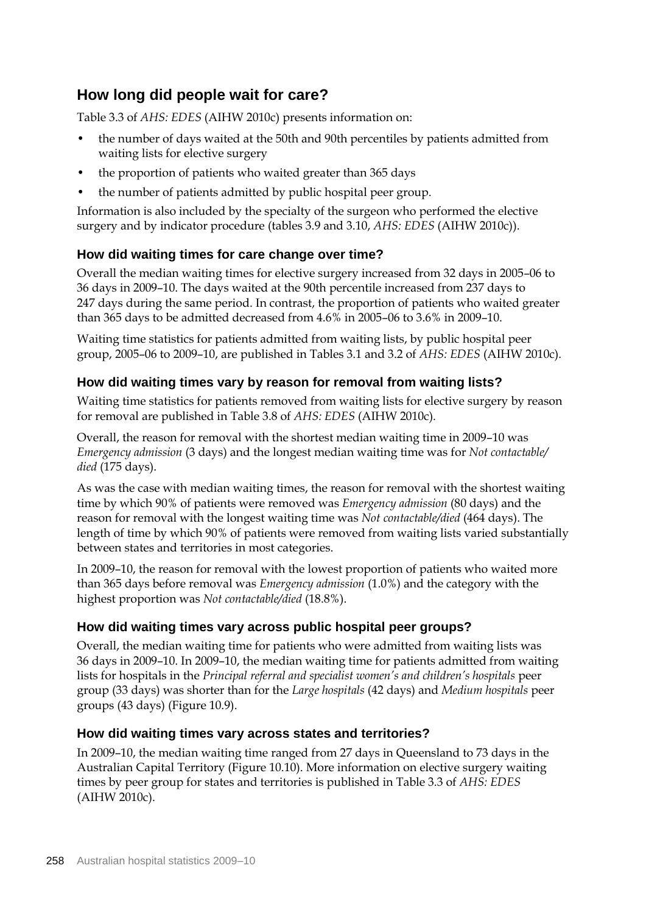## **How long did people wait for care?**

Table 3.3 of *AHS: EDES* (AIHW 2010c) presents information on:

- the number of days waited at the 50th and 90th percentiles by patients admitted from waiting lists for elective surgery
- the proportion of patients who waited greater than 365 days
- the number of patients admitted by public hospital peer group.

Information is also included by the specialty of the surgeon who performed the elective surgery and by indicator procedure (tables 3.9 and 3.10, *AHS: EDES* (AIHW 2010c)).

## **How did waiting times for care change over time?**

Overall the median waiting times for elective surgery increased from 32 days in 2005–06 to 36 days in 2009–10. The days waited at the 90th percentile increased from 237 days to 247 days during the same period. In contrast, the proportion of patients who waited greater than 365 days to be admitted decreased from 4.6% in 2005–06 to 3.6% in 2009–10.

Waiting time statistics for patients admitted from waiting lists, by public hospital peer group, 2005–06 to 2009–10, are published in Tables 3.1 and 3.2 of *AHS: EDES* (AIHW 2010c)*.*

## **How did waiting times vary by reason for removal from waiting lists?**

Waiting time statistics for patients removed from waiting lists for elective surgery by reason for removal are published in Table 3.8 of *AHS: EDES* (AIHW 2010c)*.*

Overall, the reason for removal with the shortest median waiting time in 2009–10 was *Emergency admission* (3 days) and the longest median waiting time was for *Not contactable/ died* (175 days).

As was the case with median waiting times, the reason for removal with the shortest waiting time by which 90% of patients were removed was *Emergency admission* (80 days) and the reason for removal with the longest waiting time was *Not contactable/died* (464 days). The length of time by which 90% of patients were removed from waiting lists varied substantially between states and territories in most categories.

In 2009–10, the reason for removal with the lowest proportion of patients who waited more than 365 days before removal was *Emergency admission* (1.0%) and the category with the highest proportion was *Not contactable/died* (18.8%).

## **How did waiting times vary across public hospital peer groups?**

Overall, the median waiting time for patients who were admitted from waiting lists was 36 days in 2009–10. In 2009–10, the median waiting time for patients admitted from waiting lists for hospitals in the *Principal referral and specialist women's and children's hospitals* peer group (33 days) was shorter than for the *Large hospitals* (42 days) and *Medium hospitals* peer groups (43 days) (Figure 10.9).

## **How did waiting times vary across states and territories?**

In 2009–10, the median waiting time ranged from 27 days in Queensland to 73 days in the Australian Capital Territory (Figure 10.10). More information on elective surgery waiting times by peer group for states and territories is published in Table 3.3 of *AHS: EDES* (AIHW 2010c).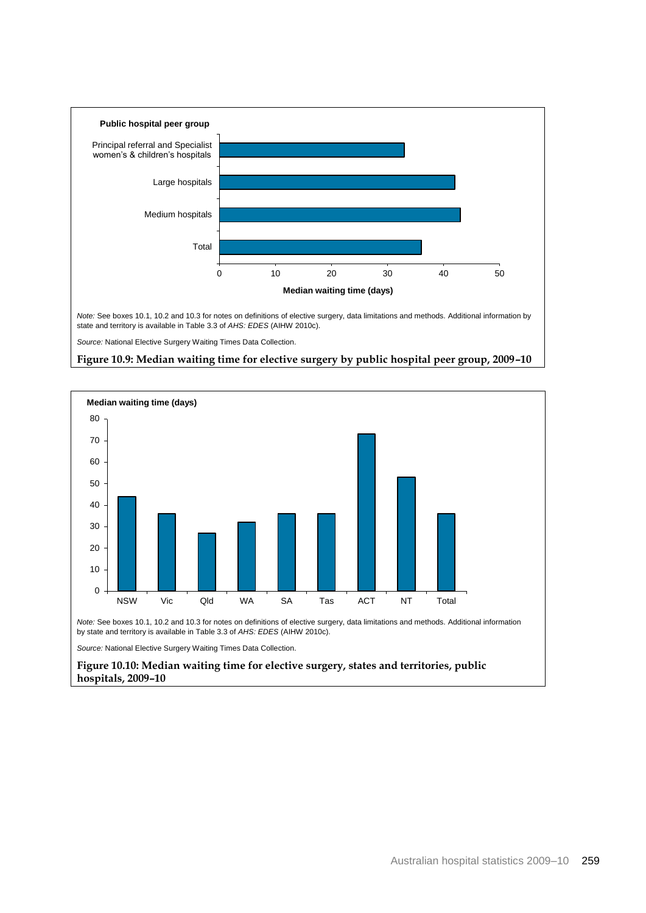

*Source:* National Elective Surgery Waiting Times Data Collection.





*Note:* See boxes 10.1, 10.2 and 10.3 for notes on definitions of elective surgery, data limitations and methods. Additional information by state and territory is available in Table 3.3 of *AHS: EDES* (AIHW 2010c).

*Source:* National Elective Surgery Waiting Times Data Collection.

**Figure 10.10: Median waiting time for elective surgery, states and territories, public hospitals, 2009–10**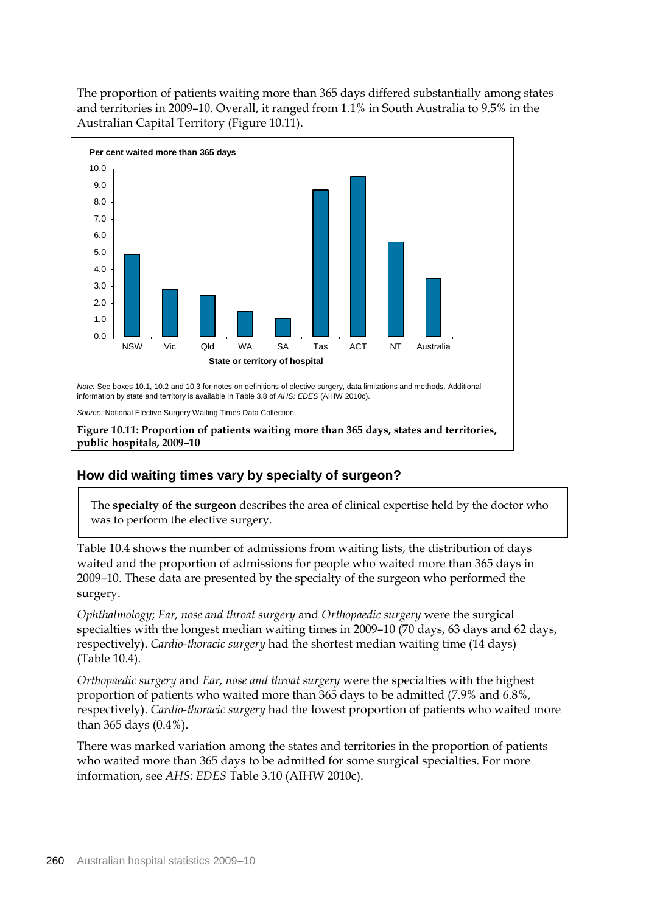The proportion of patients waiting more than 365 days differed substantially among states and territories in 2009–10. Overall, it ranged from 1.1% in South Australia to 9.5% in the Australian Capital Territory (Figure 10.11).



## **How did waiting times vary by specialty of surgeon?**

The **specialty of the surgeon** describes the area of clinical expertise held by the doctor who was to perform the elective surgery.

Table 10.4 shows the number of admissions from waiting lists, the distribution of days waited and the proportion of admissions for people who waited more than 365 days in 2009–10. These data are presented by the specialty of the surgeon who performed the surgery.

*Ophthalmology*; *Ear, nose and throat surgery* and *Orthopaedic surgery* were the surgical specialties with the longest median waiting times in 2009–10 (70 days, 63 days and 62 days, respectively). *Cardio-thoracic surgery* had the shortest median waiting time (14 days) (Table 10.4).

*Orthopaedic surgery* and *Ear, nose and throat surgery* were the specialties with the highest proportion of patients who waited more than 365 days to be admitted (7.9% and 6.8%, respectively). *Cardio-thoracic surgery* had the lowest proportion of patients who waited more than 365 days (0.4%).

There was marked variation among the states and territories in the proportion of patients who waited more than 365 days to be admitted for some surgical specialties. For more information, see *AHS: EDES* Table 3.10 (AIHW 2010c).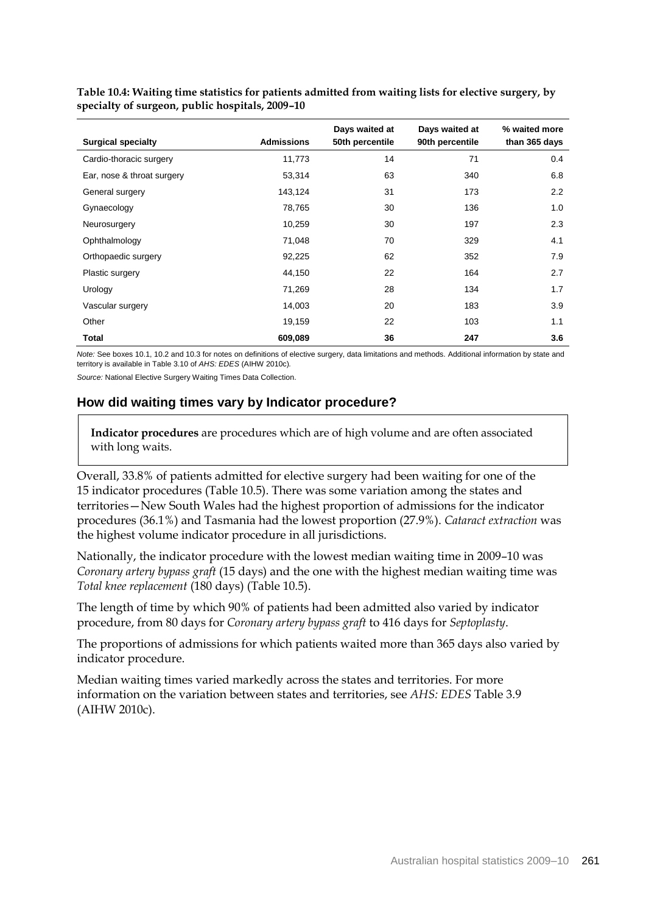| <b>Surgical specialty</b>  | <b>Admissions</b> | Days waited at<br>50th percentile | Days waited at<br>90th percentile | % waited more<br>than 365 days |
|----------------------------|-------------------|-----------------------------------|-----------------------------------|--------------------------------|
| Cardio-thoracic surgery    | 11,773            | 14                                | 71                                | 0.4                            |
| Ear, nose & throat surgery | 53,314            | 63                                | 340                               | 6.8                            |
| General surgery            | 143,124           | 31                                | 173                               | 2.2                            |
| Gynaecology                | 78,765            | 30                                | 136                               | 1.0                            |
| Neurosurgery               | 10,259            | 30                                | 197                               | 2.3                            |
| Ophthalmology              | 71,048            | 70                                | 329                               | 4.1                            |
| Orthopaedic surgery        | 92,225            | 62                                | 352                               | 7.9                            |
| Plastic surgery            | 44,150            | 22                                | 164                               | 2.7                            |
| Urology                    | 71,269            | 28                                | 134                               | 1.7                            |
| Vascular surgery           | 14,003            | 20                                | 183                               | 3.9                            |
| Other                      | 19,159            | 22                                | 103                               | 1.1                            |
| <b>Total</b>               | 609,089           | 36                                | 247                               | 3.6                            |

**Table 10.4: Waiting time statistics for patients admitted from waiting lists for elective surgery, by specialty of surgeon, public hospitals, 2009–10**

*Note:* See boxes 10.1, 10.2 and 10.3 for notes on definitions of elective surgery, data limitations and methods. Additional information by state and territory is available in Table 3.10 of *AHS: EDES* (AIHW 2010c)*.*

*Source:* National Elective Surgery Waiting Times Data Collection.

### **How did waiting times vary by Indicator procedure?**

**Indicator procedures** are procedures which are of high volume and are often associated with long waits.

Overall, 33.8% of patients admitted for elective surgery had been waiting for one of the 15 indicator procedures (Table 10.5). There was some variation among the states and territories—New South Wales had the highest proportion of admissions for the indicator procedures (36.1%) and Tasmania had the lowest proportion (27.9%). *Cataract extraction* was the highest volume indicator procedure in all jurisdictions.

Nationally, the indicator procedure with the lowest median waiting time in 2009–10 was *Coronary artery bypass graft* (15 days) and the one with the highest median waiting time was *Total knee replacement* (180 days) (Table 10.5).

The length of time by which 90% of patients had been admitted also varied by indicator procedure, from 80 days for *Coronary artery bypass graft* to 416 days for *Septoplasty*.

The proportions of admissions for which patients waited more than 365 days also varied by indicator procedure.

Median waiting times varied markedly across the states and territories. For more information on the variation between states and territories, see *AHS: EDES* Table 3.9 (AIHW 2010c).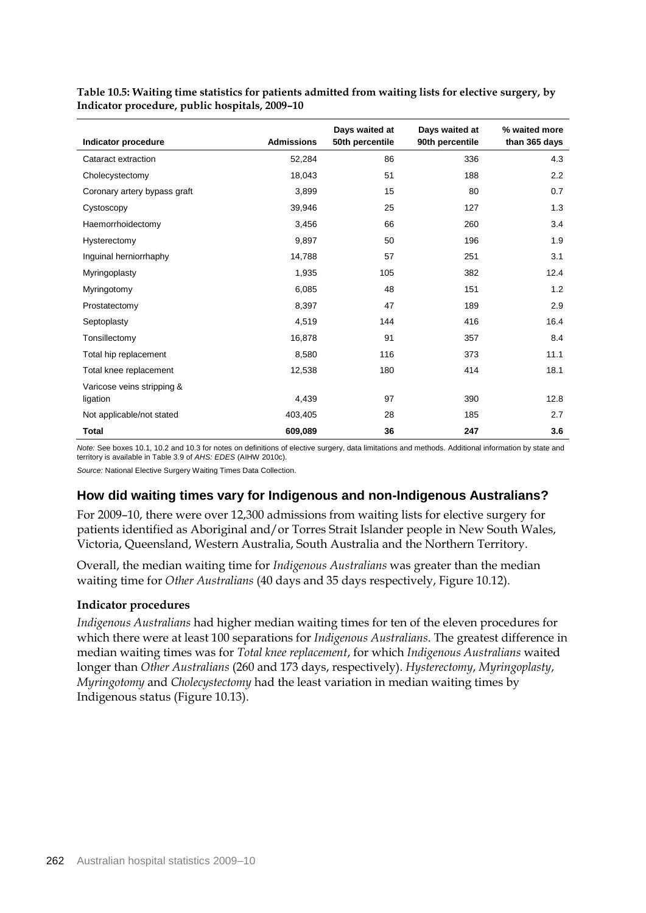|                              |                   | Days waited at  | Days waited at  | % waited more |
|------------------------------|-------------------|-----------------|-----------------|---------------|
| Indicator procedure          | <b>Admissions</b> | 50th percentile | 90th percentile | than 365 days |
| Cataract extraction          | 52,284            | 86              | 336             | 4.3           |
| Cholecystectomy              | 18,043            | 51              | 188             | 2.2           |
| Coronary artery bypass graft | 3,899             | 15              | 80              | 0.7           |
| Cystoscopy                   | 39,946            | 25              | 127             | 1.3           |
| Haemorrhoidectomy            | 3,456             | 66              | 260             | 3.4           |
| Hysterectomy                 | 9,897             | 50              | 196             | 1.9           |
| Inguinal herniorrhaphy       | 14,788            | 57              | 251             | 3.1           |
| Myringoplasty                | 1,935             | 105             | 382             | 12.4          |
| Myringotomy                  | 6,085             | 48              | 151             | 1.2           |
| Prostatectomy                | 8,397             | 47              | 189             | 2.9           |
| Septoplasty                  | 4,519             | 144             | 416             | 16.4          |
| Tonsillectomy                | 16,878            | 91              | 357             | 8.4           |
| Total hip replacement        | 8,580             | 116             | 373             | 11.1          |
| Total knee replacement       | 12,538            | 180             | 414             | 18.1          |
| Varicose veins stripping &   |                   |                 |                 |               |
| ligation                     | 4,439             | 97              | 390             | 12.8          |
| Not applicable/not stated    | 403,405           | 28              | 185             | 2.7           |
| <b>Total</b>                 | 609,089           | 36              | 247             | 3.6           |

**Table 10.5: Waiting time statistics for patients admitted from waiting lists for elective surgery, by Indicator procedure, public hospitals, 2009–10**

*Note:* See boxes 10.1, 10.2 and 10.3 for notes on definitions of elective surgery, data limitations and methods. Additional information by state and territory is available in Table 3.9 of *AHS: EDES* (AIHW 2010c).

*Source:* National Elective Surgery Waiting Times Data Collection.

#### **How did waiting times vary for Indigenous and non-Indigenous Australians?**

For 2009–10, there were over 12,300 admissions from waiting lists for elective surgery for patients identified as Aboriginal and/or Torres Strait Islander people in New South Wales, Victoria, Queensland, Western Australia, South Australia and the Northern Territory.

Overall, the median waiting time for *Indigenous Australians* was greater than the median waiting time for *Other Australians* (40 days and 35 days respectively, Figure 10.12).

#### **Indicator procedures**

*Indigenous Australians* had higher median waiting times for ten of the eleven procedures for which there were at least 100 separations for *Indigenous Australians*. The greatest difference in median waiting times was for *Total knee replacement*, for which *Indigenous Australians* waited longer than *Other Australians* (260 and 173 days, respectively). *Hysterectomy*, *Myringoplasty*, *Myringotomy* and *Cholecystectomy* had the least variation in median waiting times by Indigenous status (Figure 10.13).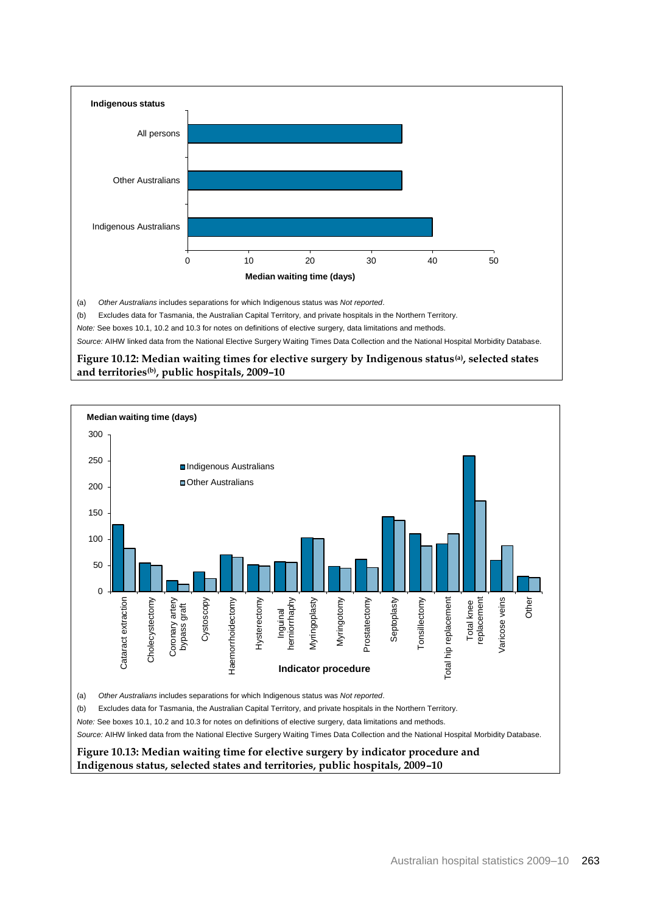

(b) Excludes data for Tasmania, the Australian Capital Territory, and private hospitals in the Northern Territory.

*Note:* See boxes 10.1, 10.2 and 10.3 for notes on definitions of elective surgery, data limitations and methods.

*Source:* AIHW linked data from the National Elective Surgery Waiting Times Data Collection and the National Hospital Morbidity Database.

**Figure 10.12: Median waiting times for elective surgery by Indigenous status(a) , selected states and territories(b), public hospitals, 2009–10**

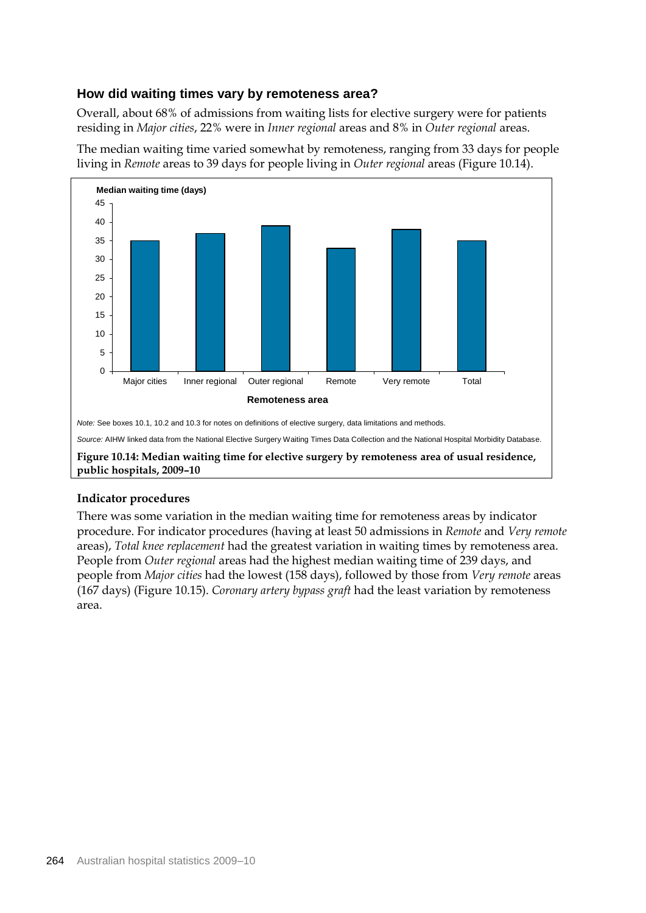## **How did waiting times vary by remoteness area?**

Overall, about 68% of admissions from waiting lists for elective surgery were for patients residing in *Major cities*, 22% were in *Inner regional* areas and 8% in *Outer regional* areas.



The median waiting time varied somewhat by remoteness, ranging from 33 days for people living in *Remote* areas to 39 days for people living in *Outer regional* areas (Figure 10.14).

#### **Indicator procedures**

There was some variation in the median waiting time for remoteness areas by indicator procedure. For indicator procedures (having at least 50 admissions in *Remote* and *Very remote* areas), *Total knee replacement* had the greatest variation in waiting times by remoteness area. People from *Outer regional* areas had the highest median waiting time of 239 days, and people from *Major cities* had the lowest (158 days), followed by those from *Very remote* areas (167 days) (Figure 10.15). *Coronary artery bypass graft* had the least variation by remoteness area.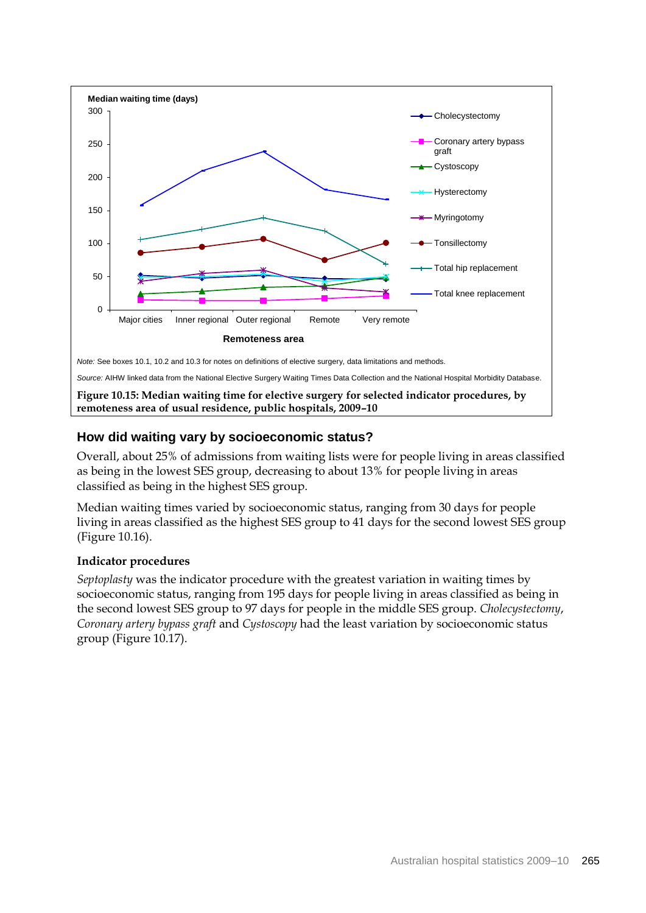

## **How did waiting vary by socioeconomic status?**

Overall, about 25% of admissions from waiting lists were for people living in areas classified as being in the lowest SES group, decreasing to about 13% for people living in areas classified as being in the highest SES group.

Median waiting times varied by socioeconomic status, ranging from 30 days for people living in areas classified as the highest SES group to 41 days for the second lowest SES group (Figure 10.16).

#### **Indicator procedures**

*Septoplasty* was the indicator procedure with the greatest variation in waiting times by socioeconomic status, ranging from 195 days for people living in areas classified as being in the second lowest SES group to 97 days for people in the middle SES group. *Cholecystectomy*, *Coronary artery bypass graft* and *Cystoscopy* had the least variation by socioeconomic status group (Figure 10.17).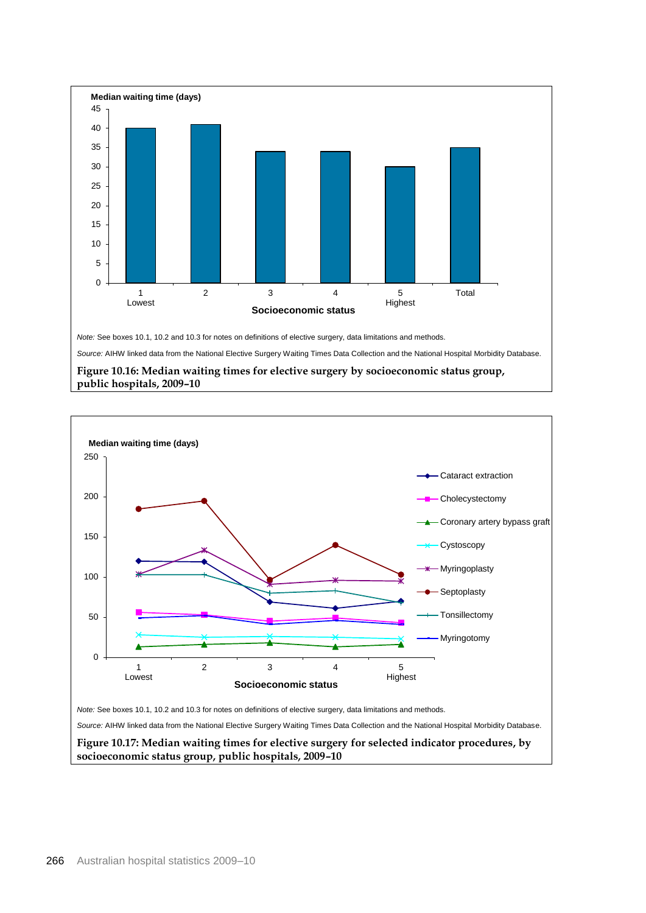

*Note:* See boxes 10.1, 10.2 and 10.3 for notes on definitions of elective surgery, data limitations and methods.

*Source:* AIHW linked data from the National Elective Surgery Waiting Times Data Collection and the National Hospital Morbidity Database.







**socioeconomic status group, public hospitals, 2009–10**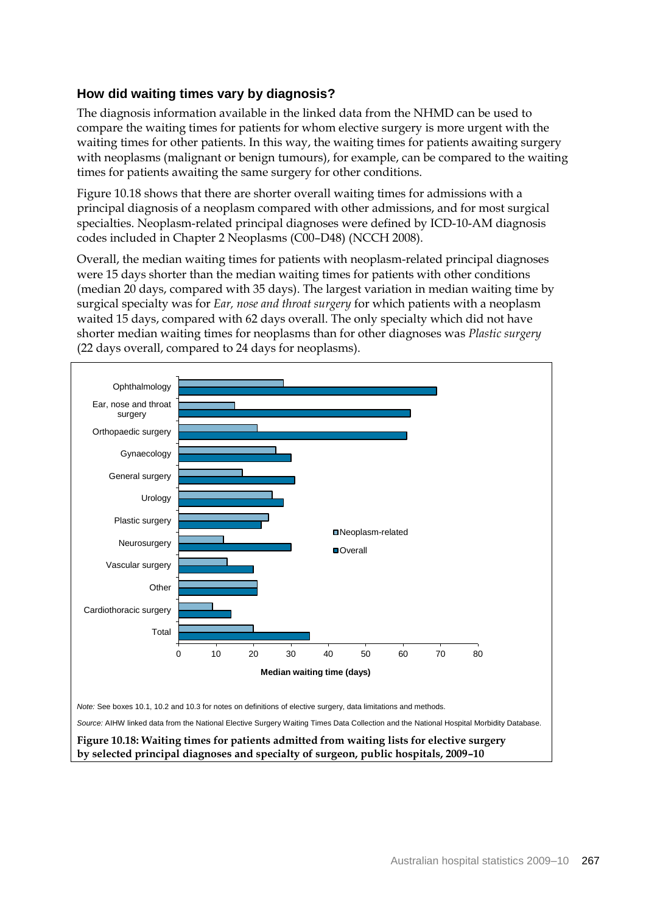## **How did waiting times vary by diagnosis?**

The diagnosis information available in the linked data from the NHMD can be used to compare the waiting times for patients for whom elective surgery is more urgent with the waiting times for other patients. In this way, the waiting times for patients awaiting surgery with neoplasms (malignant or benign tumours), for example, can be compared to the waiting times for patients awaiting the same surgery for other conditions.

Figure 10.18 shows that there are shorter overall waiting times for admissions with a principal diagnosis of a neoplasm compared with other admissions, and for most surgical specialties. Neoplasm-related principal diagnoses were defined by ICD-10-AM diagnosis codes included in Chapter 2 Neoplasms (C00–D48) (NCCH 2008).

Overall, the median waiting times for patients with neoplasm-related principal diagnoses were 15 days shorter than the median waiting times for patients with other conditions (median 20 days, compared with 35 days). The largest variation in median waiting time by surgical specialty was for *Ear, nose and throat surgery* for which patients with a neoplasm waited 15 days, compared with 62 days overall. The only specialty which did not have shorter median waiting times for neoplasms than for other diagnoses was *Plastic surgery* (22 days overall, compared to 24 days for neoplasms).